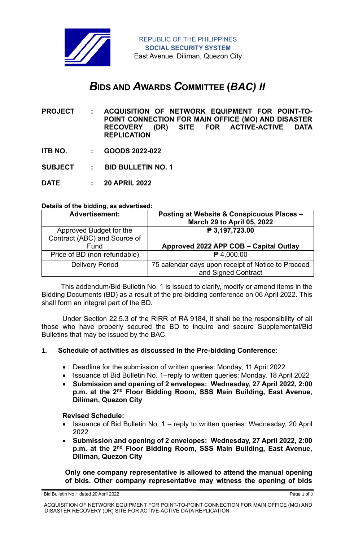

# *B***IDS AND** *A***WARDS** *C***OMMITTEE (***BAC) II*

**PROJECT : ACQUISITION OF NETWORK EQUIPMENT FOR POINT-TO-POINT CONNECTION FOR MAIN OFFICE (MO) AND DISASTER RECOVERY (DR) SITE FOR ACTIVE-ACTIVE DATA REPLICATION**

- **ITB NO. : GOODS 2022-022**
- **SUBJECT : BID BULLETIN NO. 1**
- **DATE : 20 APRIL 2022**

#### **Details of the bidding, as advertised:**

| <b>Advertisement:</b>        | Posting at Website & Conspicuous Places -<br><b>March 29 to April 05, 2022</b> |
|------------------------------|--------------------------------------------------------------------------------|
| Approved Budget for the      | ₱ 3,197,723.00                                                                 |
| Contract (ABC) and Source of |                                                                                |
| Fund                         | Approved 2022 APP COB - Capital Outlay                                         |
| Price of BD (non-refundable) | $P$ 4,000.00                                                                   |
| <b>Delivery Period</b>       | 75 calendar days upon receipt of Notice to Proceed                             |
|                              | and Signed Contract                                                            |

 This addendum/Bid Bulletin No. 1 is issued to clarify, modify or amend items in the Bidding Documents (BD) as a result of the pre-bidding conference on 06 April 2022. This shall form an integral part of the BD**.**

Under Section 22.5.3 of the RIRR of RA 9184, it shall be the responsibility of all those who have properly secured the BD to inquire and secure Supplemental/Bid Bulletins that may be issued by the BAC.

#### **1. Schedule of activities as discussed in the Pre-bidding Conference:**

- Deadline for the submission of written queries: Monday, 11 April 2022
- Issuance of Bid Bulletin No. 1–reply to written queries: Monday, 18 April 2022
- **Submission and opening of 2 envelopes: Wednesday, 27 April 2022, 2:00 p.m. at the 2nd Floor Bidding Room, SSS Main Building, East Avenue, Diliman, Quezon City**

#### **Revised Schedule:**

- Issuance of Bid Bulletin No. 1 reply to written queries: Wednesday, 20 April 2022
- **Submission and opening of 2 envelopes: Wednesday, 27 April 2022, 2:00 p.m. at the 2nd Floor Bidding Room, SSS Main Building, East Avenue, Diliman, Quezon City**

**Only one company representative is allowed to attend the manual opening of bids. Other company representative may witness the opening of bids**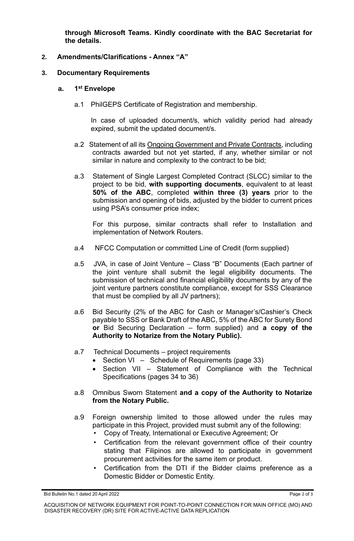**through Microsoft Teams. Kindly coordinate with the BAC Secretariat for the details.**

# **2. Amendments/Clarifications - Annex "A"**

# **3. Documentary Requirements**

#### **a. 1 st Envelope**

a.1 PhilGEPS Certificate of Registration and membership.

In case of uploaded document/s, which validity period had already expired, submit the updated document/s.

- a.2 Statement of all its Ongoing Government and Private Contracts, including contracts awarded but not yet started, if any, whether similar or not similar in nature and complexity to the contract to be bid;
- a.3 Statement of Single Largest Completed Contract (SLCC) similar to the project to be bid, **with supporting documents**, equivalent to at least **50% of the ABC**, completed **within three (3) years** prior to the submission and opening of bids, adjusted by the bidder to current prices using PSA's consumer price index;

For this purpose, similar contracts shall refer to Installation and implementation of Network Routers.

- a.4 NFCC Computation or committed Line of Credit (form supplied)
- a.5 JVA, in case of Joint Venture Class "B" Documents (Each partner of the joint venture shall submit the legal eligibility documents. The submission of technical and financial eligibility documents by any of the joint venture partners constitute compliance, except for SSS Clearance that must be complied by all JV partners);
- a.6 Bid Security (2% of the ABC for Cash or Manager's/Cashier's Check payable to SSS or Bank Draft of the ABC, 5% of the ABC for Surety Bond **or** Bid Securing Declaration – form supplied) and **a copy of the Authority to Notarize from the Notary Public).**
- a.7 Technical Documents project requirements
	- Section VI Schedule of Requirements (page 33)
	- Section VII Statement of Compliance with the Technical Specifications (pages 34 to 36)
- a.8 Omnibus Sworn Statement **and a copy of the Authority to Notarize from the Notary Public.**
- a.9 Foreign ownership limited to those allowed under the rules may participate in this Project, provided must submit any of the following:
	- Copy of Treaty, International or Executive Agreement; Or
	- Certification from the relevant government office of their country stating that Filipinos are allowed to participate in government procurement activities for the same item or product.
	- Certification from the DTI if the Bidder claims preference as a Domestic Bidder or Domestic Entity.

Bid Bulletin No.1 dated 20 April 2022 Page 2 of 3